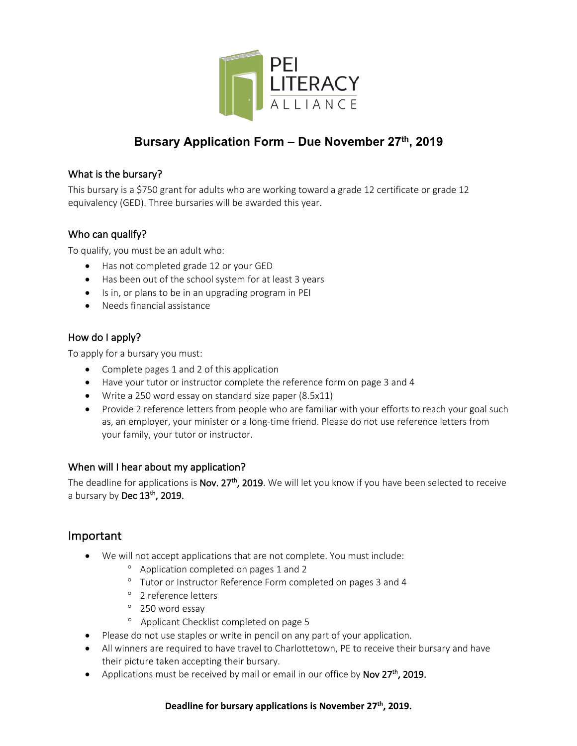

# **Bursary Application Form – Due November 27th, 2019**

### What is the bursary?

This bursary is a \$750 grant for adults who are working toward a grade 12 certificate or grade 12 equivalency (GED). Three bursaries will be awarded this year.

### Who can qualify?

To qualify, you must be an adult who:

- Has not completed grade 12 or your GED
- Has been out of the school system for at least 3 years
- Is in, or plans to be in an upgrading program in PEI
- Needs financial assistance

### How do I apply?

To apply for a bursary you must:

- Complete pages 1 and 2 of this application
- Have your tutor or instructor complete the reference form on page 3 and 4
- Write a 250 word essay on standard size paper (8.5x11)
- Provide 2 reference letters from people who are familiar with your efforts to reach your goal such as, an employer, your minister or a long-time friend. Please do not use reference letters from your family, your tutor or instructor.

#### When will I hear about my application?

The deadline for applications is Nov. 27<sup>th</sup>, 2019. We will let you know if you have been selected to receive a bursary by Dec  $13<sup>th</sup>$ , 2019.

# Important

- We will not accept applications that are not complete. You must include:
	- ° Application completed on pages 1 and 2
	- ° Tutor or Instructor Reference Form completed on pages 3 and 4
	- ° 2 reference letters
	- ° 250 word essay
	- ° Applicant Checklist completed on page 5
- Please do not use staples or write in pencil on any part of your application.
- All winners are required to have travel to Charlottetown, PE to receive their bursary and have their picture taken accepting their bursary.
- Applications must be received by mail or email in our office by Nov  $27<sup>th</sup>$ , 2019.

#### **Deadline for bursary applications is November 27th, 2019.**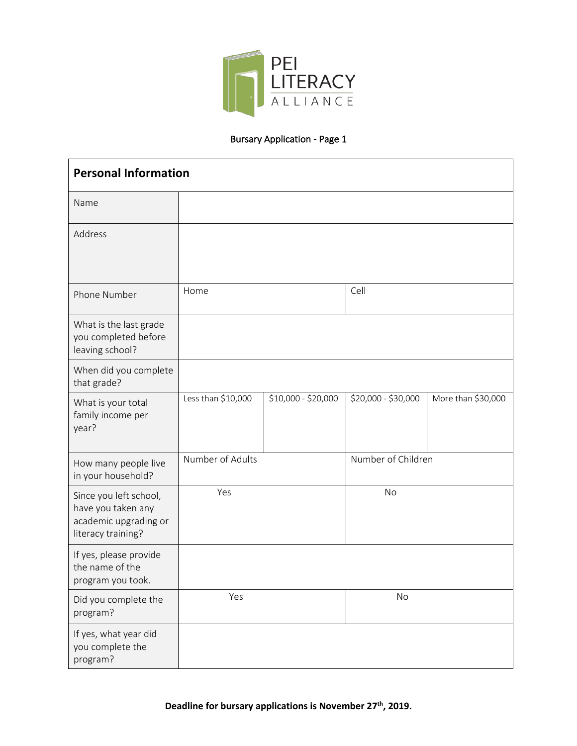

# Bursary Application - Page 1

| <b>Personal Information</b>                                                                 |                    |                     |                     |                    |  |
|---------------------------------------------------------------------------------------------|--------------------|---------------------|---------------------|--------------------|--|
| Name                                                                                        |                    |                     |                     |                    |  |
| Address                                                                                     |                    |                     |                     |                    |  |
| Phone Number                                                                                | Home               |                     | Cell                |                    |  |
| What is the last grade<br>you completed before<br>leaving school?                           |                    |                     |                     |                    |  |
| When did you complete<br>that grade?                                                        |                    |                     |                     |                    |  |
| What is your total<br>family income per<br>year?                                            | Less than \$10,000 | \$10,000 - \$20,000 | \$20,000 - \$30,000 | More than \$30,000 |  |
| How many people live<br>in your household?                                                  | Number of Adults   |                     | Number of Children  |                    |  |
| Since you left school,<br>have you taken any<br>academic upgrading or<br>literacy training? | Yes                |                     | <b>No</b>           |                    |  |
| If yes, please provide<br>the name of the<br>program you took.                              |                    |                     |                     |                    |  |
| Did you complete the<br>program?                                                            | Yes                |                     | No                  |                    |  |
| If yes, what year did<br>you complete the<br>program?                                       |                    |                     |                     |                    |  |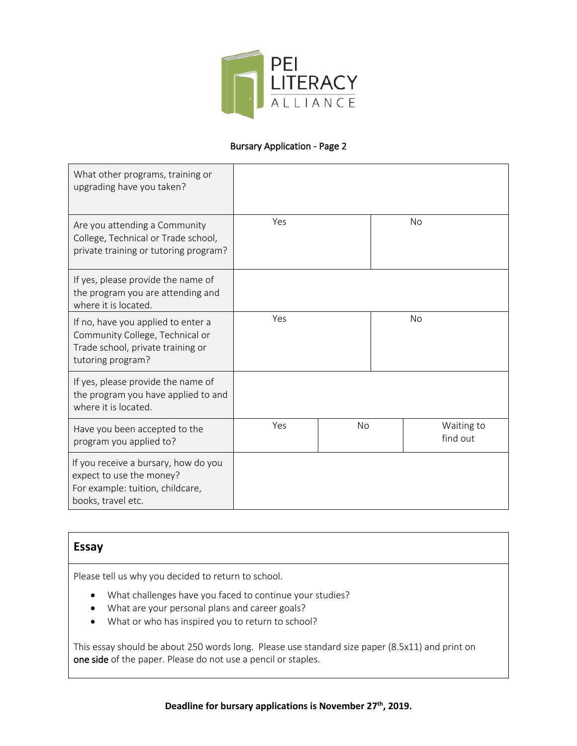

#### Bursary Application - Page 2

| What other programs, training or<br>upgrading have you taken?                                                                   |     |           |    |                        |
|---------------------------------------------------------------------------------------------------------------------------------|-----|-----------|----|------------------------|
| Are you attending a Community<br>College, Technical or Trade school,<br>private training or tutoring program?                   | Yes |           |    | <b>No</b>              |
| If yes, please provide the name of<br>the program you are attending and<br>where it is located.                                 |     |           |    |                        |
| If no, have you applied to enter a<br>Community College, Technical or<br>Trade school, private training or<br>tutoring program? | Yes |           | No |                        |
| If yes, please provide the name of<br>the program you have applied to and<br>where it is located.                               |     |           |    |                        |
| Have you been accepted to the<br>program you applied to?                                                                        | Yes | <b>No</b> |    | Waiting to<br>find out |
| If you receive a bursary, how do you<br>expect to use the money?<br>For example: tuition, childcare,<br>books, travel etc.      |     |           |    |                        |

# **Essay**

Please tell us why you decided to return to school.

- What challenges have you faced to continue your studies?
- What are your personal plans and career goals?
- What or who has inspired you to return to school?

This essay should be about 250 words long. Please use standard size paper (8.5x11) and print on one side of the paper. Please do not use a pencil or staples.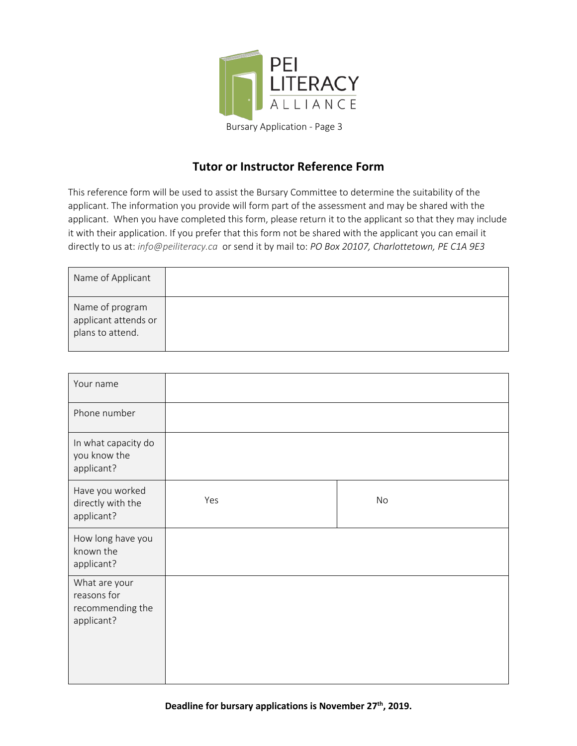

# **Tutor or Instructor Reference Form**

This reference form will be used to assist the Bursary Committee to determine the suitability of the applicant. The information you provide will form part of the assessment and may be shared with the applicant. When you have completed this form, please return it to the applicant so that they may include it with their application. If you prefer that this form not be shared with the applicant you can email it directly to us at: *info@peiliteracy.ca* or send it by mail to: *PO Box 20107, Charlottetown, PE C1A 9E3*

| Name of Applicant                                           |  |
|-------------------------------------------------------------|--|
| Name of program<br>applicant attends or<br>plans to attend. |  |

| Your name                                                      |     |    |
|----------------------------------------------------------------|-----|----|
| Phone number                                                   |     |    |
| In what capacity do<br>you know the<br>applicant?              |     |    |
| Have you worked<br>directly with the<br>applicant?             | Yes | No |
| How long have you<br>known the<br>applicant?                   |     |    |
| What are your<br>reasons for<br>recommending the<br>applicant? |     |    |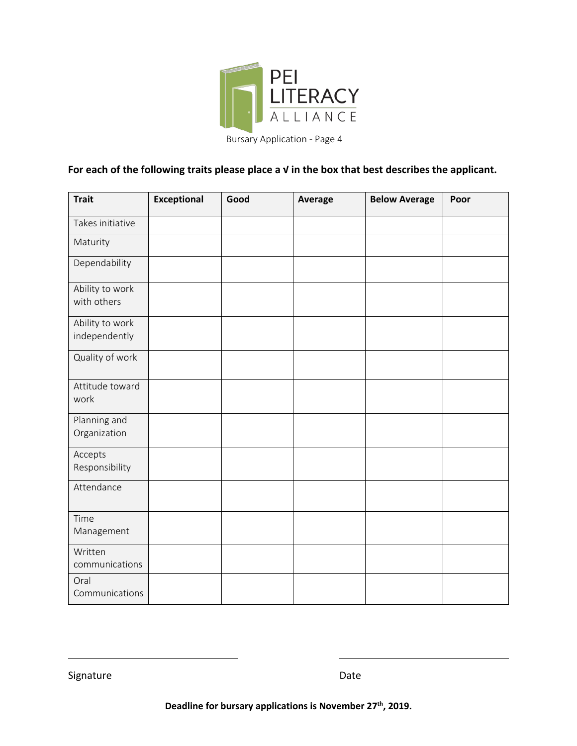

Bursary Application - Page 4

# **For each of the following traits please place a √ in the box that best describes the applicant.**

| <b>Trait</b>                     | <b>Exceptional</b> | Good | Average | <b>Below Average</b> | Poor |
|----------------------------------|--------------------|------|---------|----------------------|------|
| Takes initiative                 |                    |      |         |                      |      |
| Maturity                         |                    |      |         |                      |      |
| Dependability                    |                    |      |         |                      |      |
| Ability to work<br>with others   |                    |      |         |                      |      |
| Ability to work<br>independently |                    |      |         |                      |      |
| Quality of work                  |                    |      |         |                      |      |
| Attitude toward<br>work          |                    |      |         |                      |      |
| Planning and<br>Organization     |                    |      |         |                      |      |
| Accepts<br>Responsibility        |                    |      |         |                      |      |
| Attendance                       |                    |      |         |                      |      |
| Time<br>Management               |                    |      |         |                      |      |
| Written<br>communications        |                    |      |         |                      |      |
| Oral<br>Communications           |                    |      |         |                      |      |